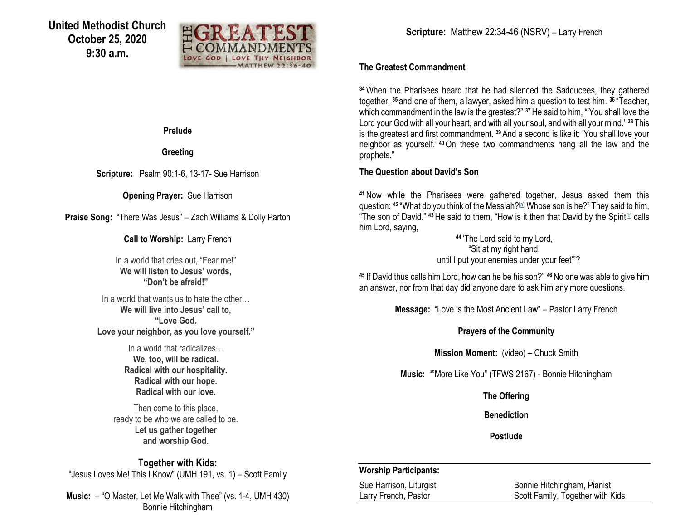

**Prelude** 

**Greeting**

**Scripture:** Psalm 90:1-6, 13-17- Sue Harrison

**Opening Prayer:** Sue Harrison

**Praise Song:** "There Was Jesus" – Zach Williams & Dolly Parton

**Call to Worship:** Larry French

In a world that cries out, "Fear me!" **We will listen to Jesus' words, "Don't be afraid!"**

In a world that wants us to hate the other… **We will live into Jesus' call to, "Love God. Love your neighbor, as you love yourself."**

> In a world that radicalizes… **We, too, will be radical. Radical with our hospitality. Radical with our hope. Radical with our love.**

Then come to this place, ready to be who we are called to be. **Let us gather together and worship God.**

**Together with Kids:** "Jesus Loves Me! This I Know" (UMH 191, vs. 1) – Scott Family

**Music:** – "O Master, Let Me Walk with Thee" (vs. 1-4, UMH 430) Bonnie Hitchingham

#### **The Greatest Commandment**

**<sup>34</sup>**When the Pharisees heard that he had silenced the Sadducees, they gathered together, **<sup>35</sup>** and one of them, a lawyer, asked him a question to test him. **<sup>36</sup>** "Teacher, which commandment in the law is the greatest?" **<sup>37</sup>**He said to him, "'You shall love the Lord your God with all your heart, and with all your soul, and with all your mind.' **<sup>38</sup>** This is the greatest and first commandment. **<sup>39</sup>**And a second is like it: 'You shall love your neighbor as yourself.' **<sup>40</sup>**On these two commandments hang all the law and the prophets."

### **The Question about David's Son**

**<sup>41</sup>**Now while the Pharisees were gathered together, Jesus asked them this question: **<sup>42</sup>** "What do you think of the Messiah?[\[a\]](https://www.biblegateway.com/passage/?search=Matthew+22%3A34-46&version=NRSV#fen-NRSV-23913a) Whose son is he?" They said to him, "The son of David." <sup>43</sup>He said to them, "How is it then that David by the Spirit<sup>[\[b\]](https://www.biblegateway.com/passage/?search=Matthew+22%3A34-46&version=NRSV#fen-NRSV-23914b)</sup> calls him Lord, saying,

> **<sup>44</sup>** 'The Lord said to my Lord, "Sit at my right hand, until I put your enemies under your feet"'?

**<sup>45</sup>** If David thus calls him Lord, how can he be his son?" **<sup>46</sup>**No one was able to give him an answer, nor from that day did anyone dare to ask him any more questions.

**Message:** "Love is the Most Ancient Law" – Pastor Larry French

**Prayers of the Community**

**Mission Moment:** (video) – Chuck Smith

**Music:** ""More Like You" (TFWS 2167) - Bonnie Hitchingham

**The Offering**

**Benediction**

**Postlude**

#### **Worship Participants:**

Sue Harrison, Liturgist Bonnie Hitchingham, Pianist Larry French, Pastor **Scott Family, Together with Kids**